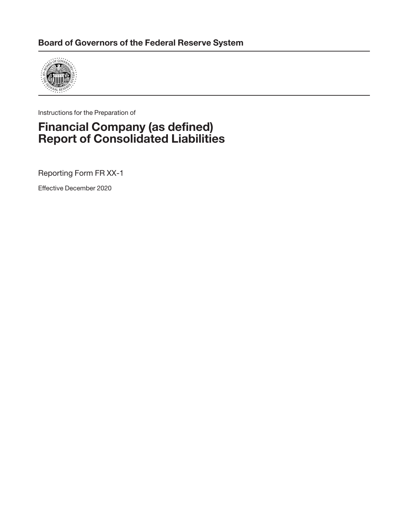

Instructions for the Preparation of

## **Financial Company (as defined) Report of Consolidated Liabilities**

Reporting Form FR XX-1

Effective December 2020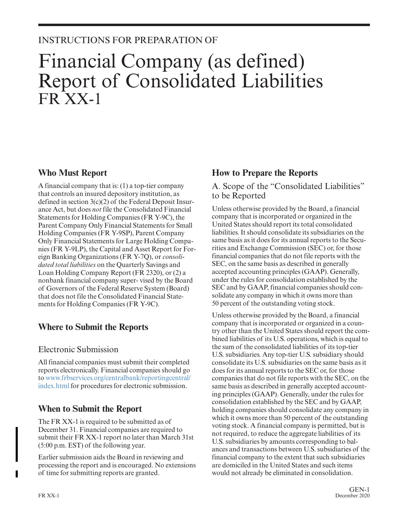### INSTRUCTIONS FOR PREPARATION OF

# Financial Company (as defined) Report of Consolidated Liabilities FR XX-1

#### **Who Must Report**

A financial company that is: (1) a top-tier company that controls an insured depository institution, as defined in section 3(c)(2) of the Federal Deposit Insur ance Act, but does *not* file the Consolidated Financial Statements for Holding Companies (FR Y-9C), the Parent Company Only Financial Statements for Small Holding Companies (FR Y-9SP), Parent Company Only Financial Statements for Large Holding Companies (FR Y-9LP), the Capital and Asset Report for For eign Banking Organizations (FR Y-7Q), or *consolidated total liabilities* on the Quarterly Savings and Loan Holding Company Report (FR 2320), or (2) a nonbank financial company super- vised by the Board of Governors of the Federal Reserve System (Board) that does not file the Consolidated Financial Statements for Holding Companies (FR Y-9C).

#### **Where to Submit the Reports**

#### Electronic Submission

All financial companies must submit their completed reports electronically. Financial companies should go to [www.frbservices.org/centralbank/reportingcentral/](https://www.frbservices.org/central-bank/reporting-central/index.html) [index.html f](https://www.frbservices.org/central-bank/reporting-central/index.html)or procedures for electronic submission.

#### **When to Submit the Report**

The FR XX-1 is required to be submitted as of December 31. Financial companies are required to submit their FR XX-1 report no later than March 31st (5:00 p.m. EST) of the following year.

Earlier submission aids the Board in reviewing and processing the report and is encouraged. No extensions of time for submitting reports are granted.

#### **How to Prepare the Reports**

A. Scope of the "Consolidated Liabilities" to be Reported

Unless otherwise provided by the Board, a financial company that is incorporated or organized in the United States should report its total consolidated liabilities. It should consolidate its subsidiaries on the same basis as it does for its annual reports to the Securities and Exchange Commission (SEC) or, for those financial companies that do not file reports with the SEC, on the same basis as described in generally accepted accounting principles (GAAP). Generally, under the rules for consolidation established by the SEC and by GAAP, financial companies should consolidate any company in which it owns more than 50 percent of the outstanding voting stock.

Unless otherwise provided by the Board, a financial company that is incorporated or organized in a country other than the United States should report the combined liabilities of its U.S. operations, which is equal to the sum of the consolidated liabilities of its top-tier U.S. subsidiaries. Any top-tier U.S. subsidiary should consolidate its U.S. subsidiaries on the same basis as it does for its annual reports to the SEC or, for those companies that do not file reports with the SEC, on the same basis as described in generally accepted accounting principles (GAAP). Generally, under the rules for consolidation established by the SEC and by GAAP, holding companies should consolidate any company in which it owns more than 50 percent of the outstanding voting stock. A financial company is permitted, but is not required, to reduce the aggregate liabilities of its U.S. subsidiaries by amounts corresponding to balances and transactions between U.S. subsidiaries of the financial company to the extent that such subsidiaries are domiciled in the United States and such items would not already be eliminated in consolidation.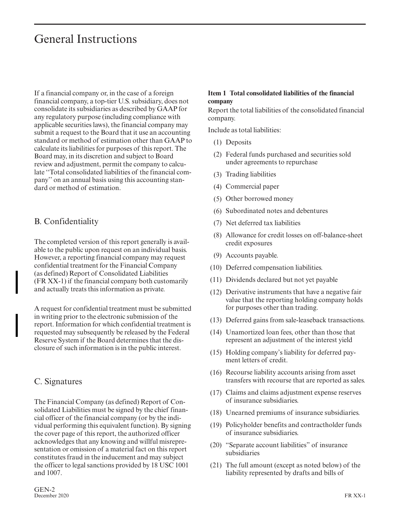## General Instructions

If a financial company or, in the case of a foreign financial company, a top-tier U.S. subsidiary, does not consolidate its subsidiaries as described by GAAP for any regulatory purpose (including compliance with applicable securities laws), the financial company may submit a request to the Board that it use an accounting standard or method of estimation other than GAAP to calculate its liabilities for purposes of this report. The Board may, in its discretion and subject to Board review and adjustment, permit the company to calculate ''Total consolidated liabilities of the financial company'' on an annual basis using this accounting standard or method of estimation.

#### B. Confidentiality

The completed version of this report generally is available to the public upon request on an individual basis. However, a reporting financial company may request confidential treatment for the Financial Company (as defined) Report of Consolidated Liabilities (FR XX-1) if the financial company both customarily and actually treats this information as private.

A request for confidential treatment must be submitted in writing prior to the electronic submission of the report. Information for which confidential treatment is requested may subsequently be released by the Federal Reserve System if the Board determines that the disclosure of such information is in the public interest.

#### C. Signatures

The Financial Company (as defined) Report of Consolidated Liabilities must be signed by the chief financial officer of the financial company (or by the individual performing this equivalent function). By signing the cover page of this report, the authorized officer acknowledges that any knowing and willful misrepresentation or omission of a material fact on this report constitutes fraud in the inducement and may subject the officer to legal sanctions provided by 18 USC 1001 and 1007.

#### **Item 1 Total consolidated liabilities of the financial company**

Report the total liabilities of the consolidated financial company.

Include as total liabilities:

- (1) Deposits
- (2) Federal funds purchased and securities sold under agreements to repurchase
- (3) Trading liabilities
- (4) Commercial paper
- (5) Other borrowed money
- (6) Subordinated notes and debentures
- (7) Net deferred tax liabilities
- (8) Allowance for credit losses on off-balance-sheet credit exposures
- (9) Accounts payable.
- (10) Deferred compensation liabilities.
- (11) Dividends declared but not yet payable
- (12) Derivative instruments that have a negative fair value that the reporting holding company holds for purposes other than trading.
- (13) Deferred gains from sale-leaseback transactions.
- (14) Unamortized loan fees, other than those that represent an adjustment of the interest yield
- (15) Holding company's liability for deferred payment letters of credit.
- (16) Recourse liability accounts arising from asset transfers with recourse that are reported as sales.
- (17) Claims and claims adjustment expense reserves of insurance subsidiaries.
- (18) Unearned premiums of insurance subsidiaries.
- (19) Policyholder benefits and contractholder funds of insurance subsidiaries.
- (20) "Separate account liabilities" of insurance subsidiaries
- (21) The full amount (except as noted below) of the liability represented by drafts and bills of